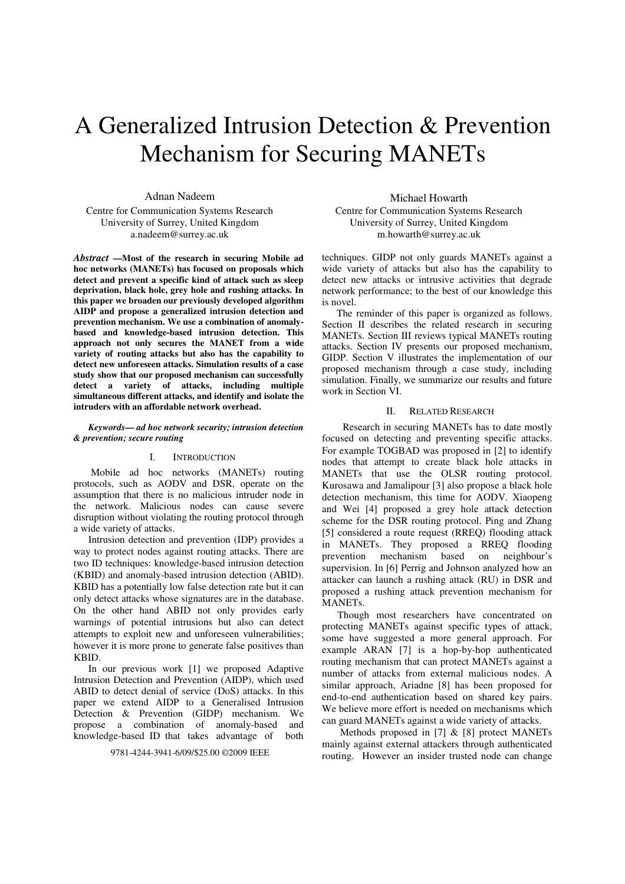# A Generalized Intrusion Detection & Prevention Mechanism for Securing MANETs

Adnan Nadeem Centre for Communication Systems Research University of Surrey, United Kingdom a.nadeem@surrey.ac.uk

*Abstract* **—Most of the research in securing Mobile ad hoc networks (MANETs) has focused on proposals which detect and prevent a specific kind of attack such as sleep deprivation, black hole, grey hole and rushing attacks. In this paper we broaden our previously developed algorithm AIDP and propose a generalized intrusion detection and prevention mechanism. We use a combination of anomalybased and knowledge-based intrusion detection. This approach not only secures the MANET from a wide variety of routing attacks but also has the capability to detect new unforeseen attacks. Simulation results of a case study show that our proposed mechanism can successfully detect a variety of attacks, including multiple simultaneous different attacks, and identify and isolate the intruders with an affordable network overhead.** 

#### *Keywords— ad hoc network security; intrusion detection & prevention; secure routing*

### I. INTRODUCTION

 Mobile ad hoc networks (MANETs) routing protocols, such as AODV and DSR, operate on the assumption that there is no malicious intruder node in the network. Malicious nodes can cause severe disruption without violating the routing protocol through a wide variety of attacks.

Intrusion detection and prevention (IDP) provides a way to protect nodes against routing attacks. There are two ID techniques: knowledge-based intrusion detection (KBID) and anomaly-based intrusion detection (ABID). KBID has a potentially low false detection rate but it can only detect attacks whose signatures are in the database. On the other hand ABID not only provides early warnings of potential intrusions but also can detect attempts to exploit new and unforeseen vulnerabilities; however it is more prone to generate false positives than KBID.

In our previous work [1] we proposed Adaptive Intrusion Detection and Prevention (AIDP), which used ABID to detect denial of service (DoS) attacks. In this paper we extend AIDP to a Generalised Intrusion Detection & Prevention (GIDP) mechanism. We propose a combination of anomaly-based and knowledge-based ID that takes advantage of both

Michael Howarth Centre for Communication Systems Research University of Surrey, United Kingdom m.howarth@surrey.ac.uk

techniques. GIDP not only guards MANETs against a wide variety of attacks but also has the capability to detect new attacks or intrusive activities that degrade network performance; to the best of our knowledge this is novel.

The reminder of this paper is organized as follows. Section II describes the related research in securing MANETs. Section III reviews typical MANETs routing attacks. Section IV presents our proposed mechanism, GIDP. Section V illustrates the implementation of our proposed mechanism through a case study, including simulation. Finally, we summarize our results and future work in Section VI.

# II. RELATED RESEARCH

 Research in securing MANETs has to date mostly focused on detecting and preventing specific attacks. For example TOGBAD was proposed in [2] to identify nodes that attempt to create black hole attacks in MANETs that use the OLSR routing protocol. Kurosawa and Jamalipour [3] also propose a black hole detection mechanism, this time for AODV. Xiaopeng and Wei [4] proposed a grey hole attack detection scheme for the DSR routing protocol. Ping and Zhang [5] considered a route request (RREQ) flooding attack in MANETs. They proposed a RREQ flooding prevention mechanism based on neighbour's supervision. In [6] Perrig and Johnson analyzed how an attacker can launch a rushing attack (RU) in DSR and proposed a rushing attack prevention mechanism for MANETs.

 Though most researchers have concentrated on protecting MANETs against specific types of attack, some have suggested a more general approach. For example ARAN [7] is a hop-by-hop authenticated routing mechanism that can protect MANETs against a number of attacks from external malicious nodes. A similar approach, Ariadne [8] has been proposed for end-to-end authentication based on shared key pairs. We believe more effort is needed on mechanisms which can guard MANETs against a wide variety of attacks.

 Methods proposed in [7] & [8] protect MANETs mainly against external attackers through authenticated 9781-4244-3941-6/09/\$25.00 ©2009 IEEE routing. However an insider trusted node can change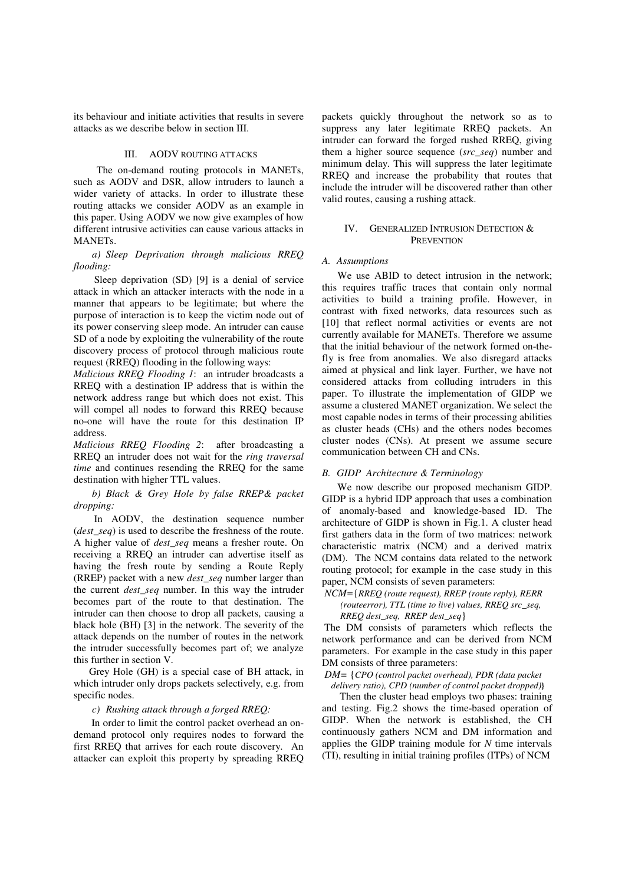its behaviour and initiate activities that results in severe attacks as we describe below in section III.

## III. AODV ROUTING ATTACKS

 The on-demand routing protocols in MANETs, such as AODV and DSR, allow intruders to launch a wider variety of attacks. In order to illustrate these routing attacks we consider AODV as an example in this paper. Using AODV we now give examples of how different intrusive activities can cause various attacks in MANETs.

*a) Sleep Deprivation through malicious RREQ flooding:* 

 Sleep deprivation (SD) [9] is a denial of service attack in which an attacker interacts with the node in a manner that appears to be legitimate; but where the purpose of interaction is to keep the victim node out of its power conserving sleep mode. An intruder can cause SD of a node by exploiting the vulnerability of the route discovery process of protocol through malicious route request (RREQ) flooding in the following ways:

*Malicious RREQ Flooding 1*: an intruder broadcasts a RREQ with a destination IP address that is within the network address range but which does not exist. This will compel all nodes to forward this RREQ because no-one will have the route for this destination IP address.

*Malicious RREQ Flooding 2*: after broadcasting a RREQ an intruder does not wait for the *ring traversal time* and continues resending the RREQ for the same destination with higher TTL values.

## *b) Black & Grey Hole by false RREP& packet dropping:*

 In AODV, the destination sequence number (*dest seq*) is used to describe the freshness of the route. A higher value of *dest\_seq* means a fresher route. On receiving a RREQ an intruder can advertise itself as having the fresh route by sending a Route Reply (RREP) packet with a new *dest\_seq* number larger than the current *dest\_seq* number. In this way the intruder becomes part of the route to that destination. The intruder can then choose to drop all packets, causing a black hole (BH) [3] in the network. The severity of the attack depends on the number of routes in the network the intruder successfully becomes part of; we analyze this further in section V.

 Grey Hole (GH) is a special case of BH attack, in which intruder only drops packets selectively, e.g. from specific nodes.

### *c) Rushing attack through a forged RREQ:*

 In order to limit the control packet overhead an ondemand protocol only requires nodes to forward the first RREQ that arrives for each route discovery. An attacker can exploit this property by spreading RREQ packets quickly throughout the network so as to suppress any later legitimate RREQ packets. An intruder can forward the forged rushed RREQ, giving them a higher source sequence (*src\_seq*) number and minimum delay. This will suppress the later legitimate RREQ and increase the probability that routes that include the intruder will be discovered rather than other valid routes, causing a rushing attack.

## IV. GENERALIZED INTRUSION DETECTION & **PREVENTION**

#### *A. Assumptions*

 We use ABID to detect intrusion in the network; this requires traffic traces that contain only normal activities to build a training profile. However, in contrast with fixed networks, data resources such as [10] that reflect normal activities or events are not currently available for MANETs. Therefore we assume that the initial behaviour of the network formed on-thefly is free from anomalies. We also disregard attacks aimed at physical and link layer. Further, we have not considered attacks from colluding intruders in this paper. To illustrate the implementation of GIDP we assume a clustered MANET organization. We select the most capable nodes in terms of their processing abilities as cluster heads (CHs) and the others nodes becomes cluster nodes (CNs). At present we assume secure communication between CH and CNs.

### *B. GIDP Architecture & Terminology*

 We now describe our proposed mechanism GIDP. GIDP is a hybrid IDP approach that uses a combination of anomaly-based and knowledge-based ID. The architecture of GIDP is shown in Fig.1. A cluster head first gathers data in the form of two matrices: network characteristic matrix (NCM) and a derived matrix (DM). The NCM contains data related to the network routing protocol; for example in the case study in this paper, NCM consists of seven parameters:

*NCM=*{*RREQ (route request), RREP (route reply), RERR (routeerror), TTL (time to live) values, RREQ src\_seq, RREQ dest\_seq, RREP dest\_seq*}

The DM consists of parameters which reflects the network performance and can be derived from NCM parameters. For example in the case study in this paper DM consists of three parameters:

 *DM=* {*CPO (control packet overhead), PDR (data packet delivery ratio), CPD (number of control packet dropped)***}** 

Then the cluster head employs two phases: training and testing. Fig.2 shows the time-based operation of GIDP. When the network is established, the CH continuously gathers NCM and DM information and applies the GIDP training module for *N* time intervals (TI), resulting in initial training profiles (ITPs) of NCM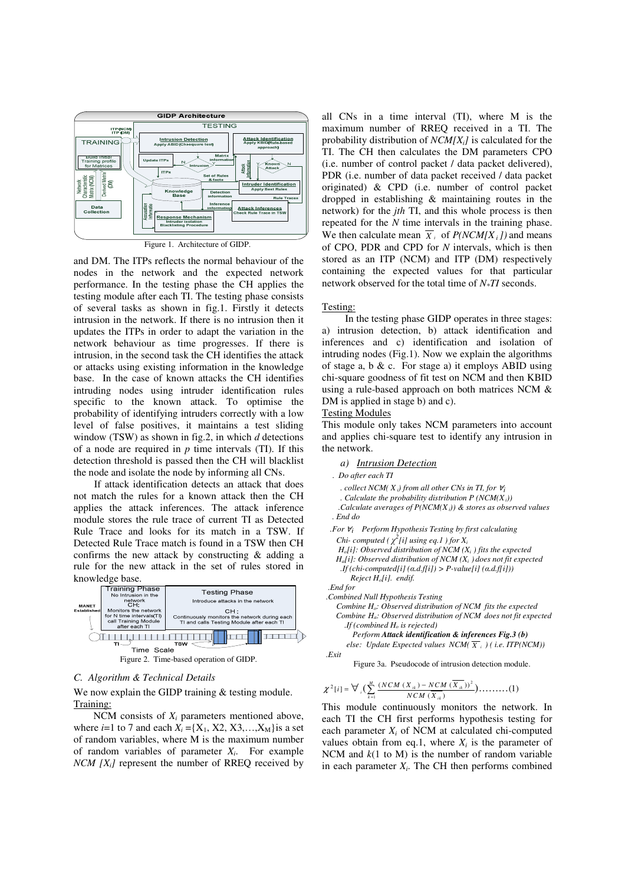

Figure 1. Architecture of GIDP.

and DM. The ITPs reflects the normal behaviour of the nodes in the network and the expected network performance. In the testing phase the CH applies the testing module after each TI. The testing phase consists of several tasks as shown in fig.1. Firstly it detects intrusion in the network. If there is no intrusion then it updates the ITPs in order to adapt the variation in the network behaviour as time progresses. If there is intrusion, in the second task the CH identifies the attack or attacks using existing information in the knowledge base. In the case of known attacks the CH identifies intruding nodes using intruder identification rules specific to the known attack. To optimise the probability of identifying intruders correctly with a low level of false positives, it maintains a test sliding window (TSW) as shown in fig.2, in which *d* detections of a node are required in *p* time intervals (TI). If this detection threshold is passed then the CH will blacklist the node and isolate the node by informing all CNs.

 If attack identification detects an attack that does not match the rules for a known attack then the CH applies the attack inferences. The attack inference module stores the rule trace of current TI as Detected Rule Trace and looks for its match in a TSW. If Detected Rule Trace match is found in a TSW then CH confirms the new attack by constructing & adding a rule for the new attack in the set of rules stored in



### *C. Algorithm & Technical Details*

We now explain the GIDP training & testing module. Training:

NCM consists of  $X_i$  parameters mentioned above, where  $i=1$  to 7 and each  $X_i = \{X_1, X_2, X_3, \ldots, X_M\}$  is a set of random variables, where M is the maximum number of random variables of parameter *X<sup>i</sup>* . For example *NCM*  $[X_i]$  represent the number of RREQ received by

all CNs in a time interval (TI), where M is the maximum number of RREQ received in a TI. The probability distribution of *NCM[Xi]* is calculated for the TI. The CH then calculates the DM parameters CPO (i.e. number of control packet / data packet delivered), PDR (i.e. number of data packet received / data packet originated) & CPD (i.e. number of control packet dropped in establishing & maintaining routes in the network) for the *jth* TI, and this whole process is then repeated for the *N* time intervals in the training phase. We then calculate mean  $\overline{X}_i$  of  $P(NCM[X_i])$  and means of CPO, PDR and CPD for *N* intervals, which is then stored as an ITP (NCM) and ITP (DM) respectively containing the expected values for that particular network observed for the total time of *N\*TI* seconds.

#### Testing:

 In the testing phase GIDP operates in three stages: a) intrusion detection, b) attack identification and inferences and c) identification and isolation of intruding nodes (Fig.1). Now we explain the algorithms of stage a, b  $\&$  c. For stage a) it employs ABID using chi-square goodness of fit test on NCM and then KBID using a rule-based approach on both matrices NCM & DM is applied in stage b) and c).

## Testing Modules

This module only takes NCM parameters into account and applies chi-square test to identify any intrusion in the network.

- *a) Intrusion Detection*
- *. Do after each TI* 
	- *. collect NCM( X i) from all other CNs in TI, for* <sup>∀</sup>*i*
	- *. Calculate the probability distribution P (NCM(X i))*
- *.Calculate averages of P(NCM(X i)) & stores as observed values . End do*
- *.For* <sup>∀</sup>*i Perform Hypothesis Testing by first calculating Chi-* computed ( $\chi^2[i]$  using eq.1 ) for  $X_i$  *Ho[i]: Observed distribution of NCM (Xi ) fits the expected*   $H_a[i]$ : Observed distribution of NCM  $(X_i)$  does not fit expected  *.If (chi-computed[i] (*α*.d.f[i]) > P-value[i] (*α*.d.f[i])) Reject Ho[i]. endif. .End for .Combined Null Hypothesis Testing Combine Ho: Observed distribution of NCM fits the expected* 
	- *Combine Ha: Observed distribution of NCM does not fit expected .If (combined Ho is rejected) Perform Attack identification & inferences Fig.3 (b)*
- *else: Update Expected values NCM*( $\overline{X}$ *)* (*i.e. ITP(NCM)) .Exit*

Figure 3a. Pseudocode of intrusion detection module.

$$
\chi^{2}[i] = \forall \sum_{k=1}^{M} \frac{(NCM(X_{ik}) - NCM(\overline{X_{ik}}))^{2}}{NCM(\overline{X_{ik}})} \dots \dots (1)
$$

This module continuously monitors the network. In each TI the CH first performs hypothesis testing for each parameter  $X_i$  of NCM at calculated chi-computed values obtain from eq.1, where  $X_i$  is the parameter of NCM and *k*(1 to M) is the number of random variable in each parameter *X<sup>i</sup>* . The CH then performs combined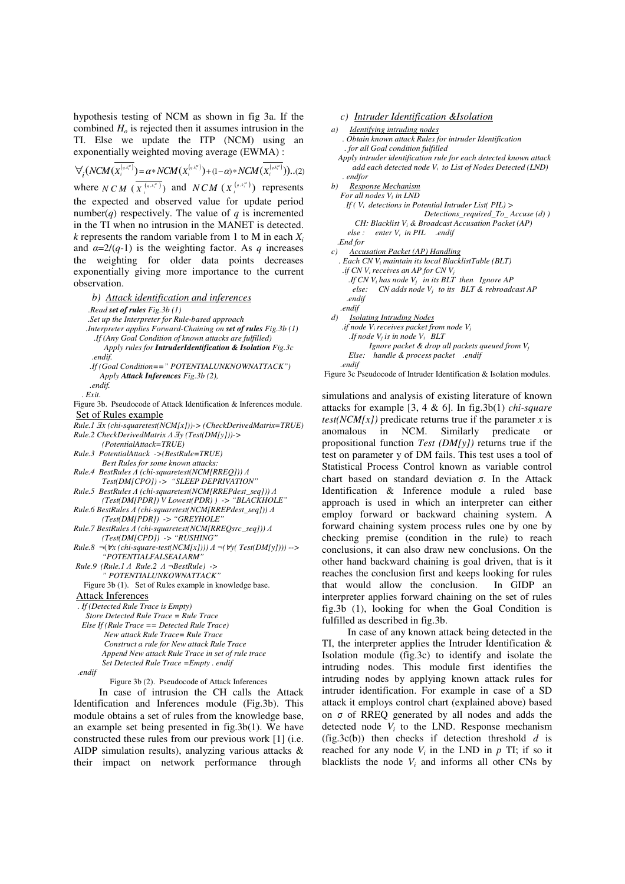hypothesis testing of NCM as shown in fig 3a. If the combined  $H<sub>o</sub>$  is rejected then it assumes intrusion in the TI. Else we update the ITP (NCM) using an exponentially weighted moving average (EWMA) :

 $\forall_{i} (NCM(X_{i}^{(a,k_{i}^{k})}) = \alpha * NCM(X_{i}^{(a,k_{i}^{k})}) + (1-\alpha) * NCM(X_{i}^{(a,k_{i}^{k})}))...$ (2)

where  $N CM$  ( $X_i^{(q,k_i^u)}$ ) and  $N CM$  ( $X_i^{(q,k_i^u)}$ ) represents the expected and observed value for update period number(*q*) respectively. The value of *q* is incremented in the TI when no intrusion in the MANET is detected. *k* represents the random variable from 1 to M in each  $X_i$ and  $\alpha=2/(q-1)$  is the weighting factor. As q increases the weighting for older data points decreases exponentially giving more importance to the current observation.

*b) Attack identification and inferences .Read set of rules Fig.3b (1) .Set up the Interpreter for Rule-based approach .Interpreter applies Forward-Chaining on set of rules Fig.3b (1) .If (Any Goal Condition of known attacks are fulfilled) Apply rules for IntruderIdentification & Isolation Fig.3c .endif. .If (Goal Condition==" POTENTIALUNKNOWNATTACK") Apply Attack Inferences Fig.3b (2), .endif. . Exit.*  Figure 3b. Pseudocode of Attack Identification & Inferences module. Set of Rules example *Rule.1* Ǝ*x (chi-squaretest(NCM[x]))-> (CheckDerivedMatrix=TRUE) Rule.2 CheckDerivedMatrix* Λ Ǝ*y (Test(DM[y]))-> (PotentialAttack=TRUE) Rule.3 PotentialAttack ->(BestRule=TRUE) Best Rules for some known attacks: Rule.4 BestRules* Λ *(chi-squaretest(NCM[RREQ]))* Λ *Test(DM[CPO]) -> "SLEEP DEPRIVATION" Rule.5 BestRules* Λ *(chi-squaretest(NCM[RREPdest\_seq]))* Λ *(Test(DM[PDR]) V Lowest(PDR) ) -> "BLACKHOLE" Rule.6 BestRules* Λ *(chi-squaretest(NCM[RREPdest\_seq]))* Λ *(Test(DM[PDR]) -> "GREYHOLE" Rule.7 BestRules* Λ *(chi-squaretest(NCM[RREQsrc\_seq]))* Λ *(Test(DM[CPD]) -> "RUSHING" Rule.8 ¬*(∀*x (chi-square-test(NCM[x])))* Λ *¬(*∀*y( Test(DM[y]))) --> "POTENTIALFALSEALARM" Rule.9 (Rule.1* Λ *Rule.2* Λ *¬BestRule) -> " POTENTIALUNKOWNATTACK"*  Figure 3b (1). Set of Rules example in knowledge base. Attack Inferences  *. If (Detected Rule Trace is Empty) Store Detected Rule Trace = Rule Trace Else If (Rule Trace == Detected Rule Trace) New attack Rule Trace= Rule Trace Construct a rule for New attack Rule Trace Append New attack Rule Trace in set of rule trace Set Detected Rule Trace =Empty . endif .endif* 

Figure 3b (2). Pseudocode of Attack Inferences

 In case of intrusion the CH calls the Attack Identification and Inferences module (Fig.3b). This module obtains a set of rules from the knowledge base, an example set being presented in fig.3b(1). We have constructed these rules from our previous work [1] (i.e. AIDP simulation results), analyzing various attacks & their impact on network performance through

*c) Intruder Identification &Isolation a) Identifying intruding nodes . Obtain known attack Rules for intruder Identification . for all Goal condition fulfilled Apply intruder identification rule for each detected known attack add each detected node Vi to List of Nodes Detected (LND) . endfor b) Response Mechanism For all nodes Vi in LND . If ( Vi detections in Potential Intruder List( PIL) > Detections\_required\_To\_ Accuse (d) ) CH: Blacklist Vi & Broadcast Accusation Packet (AP) else : enter Vi in PIL .endif .End for c) Accusation Packet (AP) Handling . Each CN Vi maintain its local BlacklistTable (BLT) .if CN Vi receives an AP for CN V<sup>j</sup> If CN V<sub>i</sub>* has node  $V_i$  *in its BLT then Ignore AP else: CN adds node Vj to its BLT & rebroadcast AP .endif .endif d) Isolating Intruding Nodes .if node Vi receives packet from node V<sup>j</sup>*  $I$ *f* node  $V$ *<sub>i</sub>* is in node  $V$ <sup>*i*</sup> BLT</sub>  *Ignore packet & drop all packets queued from V<sup>j</sup> Else: handle & process packet .endif .endif*

Figure 3c Pseudocode of Intruder Identification & Isolation modules.

simulations and analysis of existing literature of known attacks for example [3, 4 & 6]. In fig.3b(1) *chi-square test(NCM[x])* predicate returns true if the parameter *x* is anomalous in NCM. Similarly predicate or propositional function *Test (DM[y])* returns true if the test on parameter y of DM fails. This test uses a tool of Statistical Process Control known as variable control chart based on standard deviation σ. In the Attack Identification & Inference module a ruled base approach is used in which an interpreter can either employ forward or backward chaining system. A forward chaining system process rules one by one by checking premise (condition in the rule) to reach conclusions, it can also draw new conclusions. On the other hand backward chaining is goal driven, that is it reaches the conclusion first and keeps looking for rules that would allow the conclusion. In GIDP an interpreter applies forward chaining on the set of rules fig.3b (1), looking for when the Goal Condition is fulfilled as described in fig.3b.

 In case of any known attack being detected in the TI, the interpreter applies the Intruder Identification & Isolation module (fig.3c) to identify and isolate the intruding nodes. This module first identifies the intruding nodes by applying known attack rules for intruder identification. For example in case of a SD attack it employs control chart (explained above) based on σ of RREQ generated by all nodes and adds the detected node  $V_i$  to the LND. Response mechanism (fig.3c(b)) then checks if detection threshold *d* is reached for any node  $V_i$  in the LND in  $p$  TI; if so it blacklists the node  $V_i$  and informs all other CNs by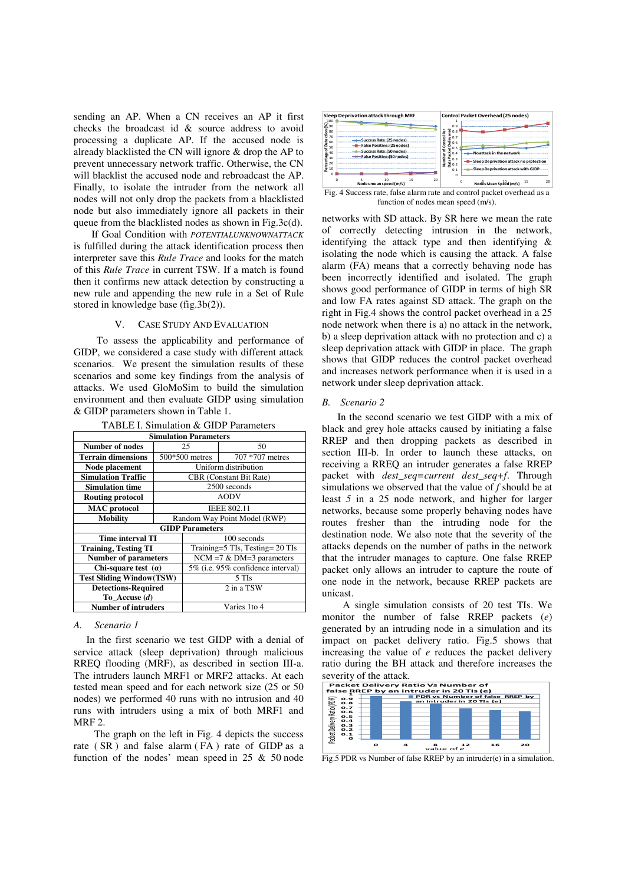sending an AP. When a CN receives an AP it first checks the broadcast id & source address to avoid processing a duplicate AP. If the accused node is already blacklisted the CN will ignore & drop the AP to prevent unnecessary network traffic. Otherwise, the CN will blacklist the accused node and rebroadcast the AP. Finally, to isolate the intruder from the network all nodes will not only drop the packets from a blacklisted node but also immediately ignore all packets in their queue from the blacklisted nodes as shown in Fig.3c(d).

 If Goal Condition with *POTENTIALUNKNOWNATTACK* is fulfilled during the attack identification process then interpreter save this *Rule Trace* and looks for the match of this *Rule Trace* in current TSW. If a match is found then it confirms new attack detection by constructing a new rule and appending the new rule in a Set of Rule stored in knowledge base (fig.3b(2)).

## V. CASE STUDY AND EVALUATION

 To assess the applicability and performance of GIDP, we considered a case study with different attack scenarios. We present the simulation results of these scenarios and some key findings from the analysis of attacks. We used GloMoSim to build the simulation environment and then evaluate GIDP using simulation & GIDP parameters shown in Table 1.

| 1710 LE 1. OMNUMNOM & OIDI TURNIKOS |                                |                                   |                 |
|-------------------------------------|--------------------------------|-----------------------------------|-----------------|
| <b>Simulation Parameters</b>        |                                |                                   |                 |
| <b>Number of nodes</b>              | 25                             |                                   | 50              |
| <b>Terrain dimensions</b>           | $500*500$ metres               |                                   | 707 *707 metres |
| Node placement                      | Uniform distribution           |                                   |                 |
| <b>Simulation Traffic</b>           | <b>CBR</b> (Constant Bit Rate) |                                   |                 |
| <b>Simulation time</b>              | 2500 seconds                   |                                   |                 |
| <b>Routing protocol</b>             | <b>AODV</b>                    |                                   |                 |
| <b>MAC</b> protocol                 | <b>IEEE 802.11</b>             |                                   |                 |
| <b>Mobility</b>                     | Random Way Point Model (RWP)   |                                   |                 |
| <b>GIDP</b> Parameters              |                                |                                   |                 |
| Time interval TI                    |                                | 100 seconds                       |                 |
| <b>Training, Testing TI</b>         |                                | Training=5 TIs, Testing= 20 TIs   |                 |
| <b>Number of parameters</b>         |                                | $NCM = 7$ & $DM = 3$ parameters   |                 |
| Chi-square test $(a)$               |                                | 5% (i.e. 95% confidence interval) |                 |
| <b>Test Sliding Window(TSW)</b>     |                                | 5 TIs                             |                 |
| <b>Detections-Required</b>          |                                | 2 in a TSW                        |                 |
| $To$ Accuse $(d)$                   |                                |                                   |                 |
| <b>Number of intruders</b>          |                                | Varies 1to 4                      |                 |

# TABLE I. Simulation & GIDP Parameters

#### *A. Scenario 1*

 In the first scenario we test GIDP with a denial of service attack (sleep deprivation) through malicious RREQ flooding (MRF), as described in section III-a. The intruders launch MRF1 or MRF2 attacks. At each tested mean speed and for each network size (25 or 50 nodes) we performed 40 runs with no intrusion and 40 runs with intruders using a mix of both MRF1 and MRF 2.

 The graph on the left in Fig. 4 depicts the success rate ( SR ) and false alarm ( FA ) rate of GIDP as a function of the nodes' mean speed in 25 & 50 node



Fig. 4 Success rate, false alarm rate and control packet overhead as a function of nodes mean speed (m/s).

networks with SD attack. By SR here we mean the rate of correctly detecting intrusion in the network, identifying the attack type and then identifying & isolating the node which is causing the attack. A false alarm (FA) means that a correctly behaving node has been incorrectly identified and isolated. The graph shows good performance of GIDP in terms of high SR and low FA rates against SD attack. The graph on the right in Fig.4 shows the control packet overhead in a 25 node network when there is a) no attack in the network, b) a sleep deprivation attack with no protection and c) a sleep deprivation attack with GIDP in place. The graph shows that GIDP reduces the control packet overhead and increases network performance when it is used in a network under sleep deprivation attack.

#### *B. Scenario 2*

 In the second scenario we test GIDP with a mix of black and grey hole attacks caused by initiating a false RREP and then dropping packets as described in section III-b. In order to launch these attacks, on receiving a RREQ an intruder generates a false RREP packet with *dest\_seq=current dest\_seq+f*. Through simulations we observed that the value of *f* should be at least *5* in a 25 node network, and higher for larger networks, because some properly behaving nodes have routes fresher than the intruding node for the destination node. We also note that the severity of the attacks depends on the number of paths in the network that the intruder manages to capture. One false RREP packet only allows an intruder to capture the route of one node in the network, because RREP packets are unicast.

 A single simulation consists of 20 test TIs. We monitor the number of false RREP packets (*e*) generated by an intruding node in a simulation and its impact on packet delivery ratio. Fig.5 shows that increasing the value of *e* reduces the packet delivery ratio during the BH attack and therefore increases the severity of the attack.



Fig.5 PDR vs Number of false RREP by an intruder(e) in a simulation.